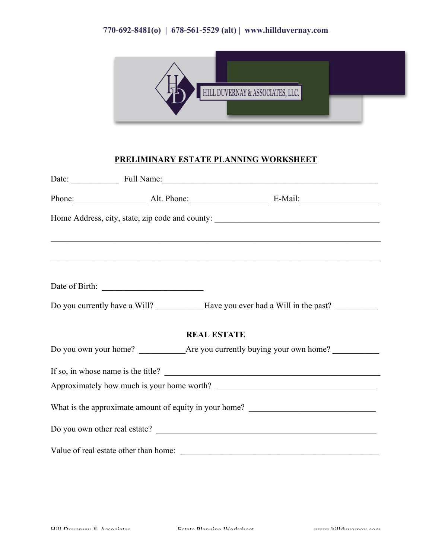## **770-692-8481(o) | 678-561-5529 (alt) | www.hillduvernay.com**



### **PRELIMINARY ESTATE PLANNING WORKSHEET**

|                                       |                    | Date: Full Name: Full Name:                                                       |
|---------------------------------------|--------------------|-----------------------------------------------------------------------------------|
|                                       |                    | Phone: Alt. Phone: E-Mail:                                                        |
|                                       |                    |                                                                                   |
|                                       |                    | <u> 1989 - Johann Stoff, amerikansk politiker (d. 1989)</u>                       |
|                                       |                    |                                                                                   |
|                                       |                    | Do you currently have a Will? Have you ever had a Will in the past?               |
|                                       | <b>REAL ESTATE</b> |                                                                                   |
|                                       |                    |                                                                                   |
|                                       |                    | If so, in whose name is the title?                                                |
|                                       |                    |                                                                                   |
|                                       |                    | What is the approximate amount of equity in your home? __________________________ |
|                                       |                    |                                                                                   |
| Value of real estate other than home: |                    |                                                                                   |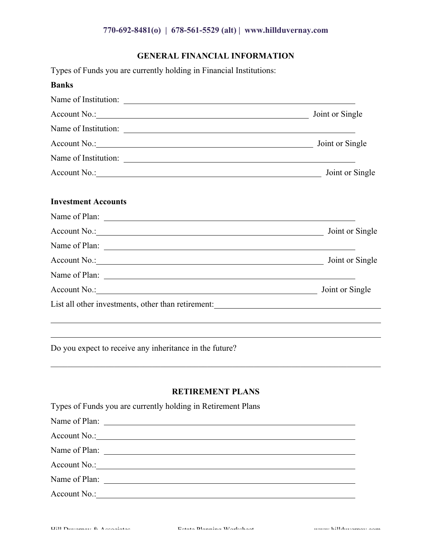# **770-692-8481(o) | 678-561-5529 (alt) | www.hillduvernay.com**

# **GENERAL FINANCIAL INFORMATION**

Types of Funds you are currently holding in Financial Institutions:

| <b>Banks</b>                                                                      |                 |
|-----------------------------------------------------------------------------------|-----------------|
| Name of Institution:                                                              |                 |
| Account No.: Joint or Single                                                      |                 |
|                                                                                   |                 |
| Account No.: No.:                                                                 | Joint or Single |
| Name of Institution:                                                              |                 |
| Account No.: No. 2008                                                             | Joint or Single |
| <b>Investment Accounts</b>                                                        |                 |
|                                                                                   |                 |
|                                                                                   | Joint or Single |
|                                                                                   |                 |
|                                                                                   | Joint or Single |
|                                                                                   |                 |
| Account No.: 1988                                                                 | Joint or Single |
| List all other investments, other than retirement: ______________________________ |                 |

Do you expect to receive any inheritance in the future?

#### **RETIREMENT PLANS**

 $\_$  , and the contribution of the contribution of the contribution of the contribution of  $\mathcal{L}_\text{max}$ 

| Types of Funds you are currently holding in Retirement Plans |  |  |  |
|--------------------------------------------------------------|--|--|--|
|                                                              |  |  |  |
|                                                              |  |  |  |
|                                                              |  |  |  |
|                                                              |  |  |  |
|                                                              |  |  |  |
|                                                              |  |  |  |
|                                                              |  |  |  |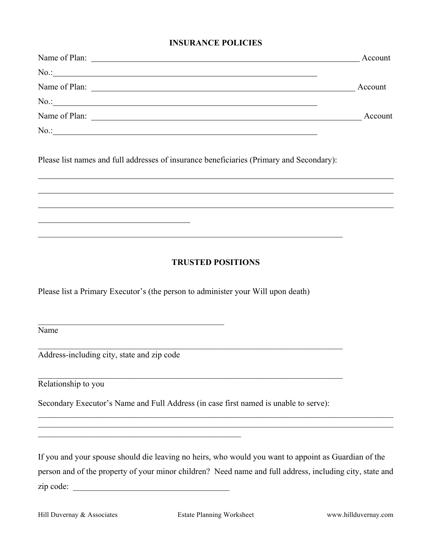#### **INSURANCE POLICIES**

| Name of Plan: | Account |
|---------------|---------|
|               |         |
|               | Account |
|               |         |
|               | Account |
|               |         |

Please list names and full addresses of insurance beneficiaries (Primary and Secondary):

 $\mathcal{L}_\text{max} = \mathcal{L}_\text{max} = \mathcal{L}_\text{max} = \mathcal{L}_\text{max} = \mathcal{L}_\text{max} = \mathcal{L}_\text{max} = \mathcal{L}_\text{max} = \mathcal{L}_\text{max} = \mathcal{L}_\text{max} = \mathcal{L}_\text{max} = \mathcal{L}_\text{max} = \mathcal{L}_\text{max} = \mathcal{L}_\text{max} = \mathcal{L}_\text{max} = \mathcal{L}_\text{max} = \mathcal{L}_\text{max} = \mathcal{L}_\text{max} = \mathcal{L}_\text{max} = \mathcal{$ 

# **TRUSTED POSITIONS**

Please list a Primary Executor's (the person to administer your Will upon death)

Name

Address-including city, state and zip code

\_\_\_\_\_\_\_\_\_\_\_\_\_\_\_\_\_\_\_\_\_\_\_\_\_\_\_\_\_\_\_\_\_\_\_\_\_\_\_\_\_\_\_\_

 $\mathcal{L}_\text{max}$  , and the set of the set of the set of the set of the set of the set of the set of the set of the set of

Relationship to you

Secondary Executor's Name and Full Address (in case first named is unable to serve):

 $\mathcal{L}_\text{max} = \mathcal{L}_\text{max} = \mathcal{L}_\text{max} = \mathcal{L}_\text{max} = \mathcal{L}_\text{max} = \mathcal{L}_\text{max} = \mathcal{L}_\text{max} = \mathcal{L}_\text{max} = \mathcal{L}_\text{max} = \mathcal{L}_\text{max} = \mathcal{L}_\text{max} = \mathcal{L}_\text{max} = \mathcal{L}_\text{max} = \mathcal{L}_\text{max} = \mathcal{L}_\text{max} = \mathcal{L}_\text{max} = \mathcal{L}_\text{max} = \mathcal{L}_\text{max} = \mathcal{$ 

 $\mathcal{L}_\mathcal{L} = \{ \mathcal{L}_\mathcal{L} = \{ \mathcal{L}_\mathcal{L} = \{ \mathcal{L}_\mathcal{L} = \{ \mathcal{L}_\mathcal{L} = \{ \mathcal{L}_\mathcal{L} = \{ \mathcal{L}_\mathcal{L} = \{ \mathcal{L}_\mathcal{L} = \{ \mathcal{L}_\mathcal{L} = \{ \mathcal{L}_\mathcal{L} = \{ \mathcal{L}_\mathcal{L} = \{ \mathcal{L}_\mathcal{L} = \{ \mathcal{L}_\mathcal{L} = \{ \mathcal{L}_\mathcal{L} = \{ \mathcal{L}_\mathcal{$ 

If you and your spouse should die leaving no heirs, who would you want to appoint as Guardian of the person and of the property of your minor children? Need name and full address, including city, state and zip code:

 $\mathcal{L}_\mathcal{L} = \{ \mathcal{L}_\mathcal{L} = \{ \mathcal{L}_\mathcal{L} = \{ \mathcal{L}_\mathcal{L} = \{ \mathcal{L}_\mathcal{L} = \{ \mathcal{L}_\mathcal{L} = \{ \mathcal{L}_\mathcal{L} = \{ \mathcal{L}_\mathcal{L} = \{ \mathcal{L}_\mathcal{L} = \{ \mathcal{L}_\mathcal{L} = \{ \mathcal{L}_\mathcal{L} = \{ \mathcal{L}_\mathcal{L} = \{ \mathcal{L}_\mathcal{L} = \{ \mathcal{L}_\mathcal{L} = \{ \mathcal{L}_\mathcal{$  $\_$  , and the contribution of the contribution of the contribution of the contribution of  $\mathcal{L}_\text{max}$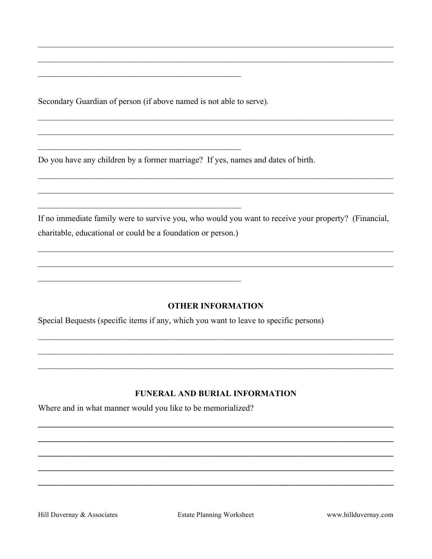Secondary Guardian of person (if above named is not able to serve).

Do you have any children by a former marriage? If yes, names and dates of birth.

If no immediate family were to survive you, who would you want to receive your property? (Financial, charitable, educational or could be a foundation or person.)

### **OTHER INFORMATION**

Special Bequests (specific items if any, which you want to leave to specific persons)

# FUNERAL AND BURIAL INFORMATION

Where and in what manner would you like to be memorialized?